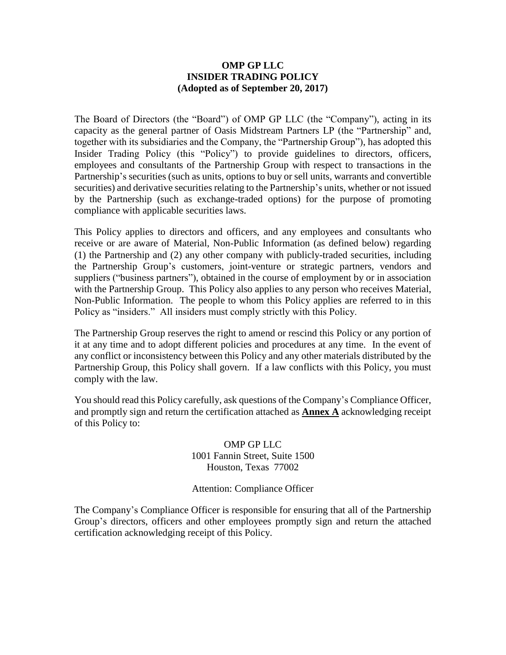#### **OMP GP LLC INSIDER TRADING POLICY (Adopted as of September 20, 2017)**

The Board of Directors (the "Board") of OMP GP LLC (the "Company"), acting in its capacity as the general partner of Oasis Midstream Partners LP (the "Partnership" and, together with its subsidiaries and the Company, the "Partnership Group"), has adopted this Insider Trading Policy (this "Policy") to provide guidelines to directors, officers, employees and consultants of the Partnership Group with respect to transactions in the Partnership's securities (such as units, options to buy or sell units, warrants and convertible securities) and derivative securities relating to the Partnership's units, whether or not issued by the Partnership (such as exchange-traded options) for the purpose of promoting compliance with applicable securities laws.

This Policy applies to directors and officers, and any employees and consultants who receive or are aware of Material, Non-Public Information (as defined below) regarding (1) the Partnership and (2) any other company with publicly-traded securities, including the Partnership Group's customers, joint-venture or strategic partners, vendors and suppliers ("business partners"), obtained in the course of employment by or in association with the Partnership Group. This Policy also applies to any person who receives Material, Non-Public Information. The people to whom this Policy applies are referred to in this Policy as "insiders." All insiders must comply strictly with this Policy.

The Partnership Group reserves the right to amend or rescind this Policy or any portion of it at any time and to adopt different policies and procedures at any time. In the event of any conflict or inconsistency between this Policy and any other materials distributed by the Partnership Group, this Policy shall govern. If a law conflicts with this Policy, you must comply with the law.

You should read this Policy carefully, ask questions of the Company's Compliance Officer, and promptly sign and return the certification attached as **Annex A** acknowledging receipt of this Policy to:

> OMP GP LLC 1001 Fannin Street, Suite 1500 Houston, Texas 77002

> Attention: Compliance Officer

The Company's Compliance Officer is responsible for ensuring that all of the Partnership Group's directors, officers and other employees promptly sign and return the attached certification acknowledging receipt of this Policy.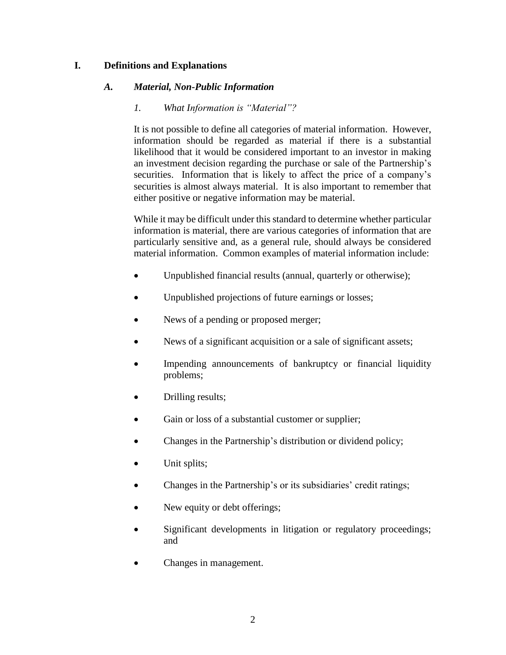### **I. Definitions and Explanations**

#### *A. Material, Non-Public Information*

#### *1. What Information is "Material"?*

It is not possible to define all categories of material information. However, information should be regarded as material if there is a substantial likelihood that it would be considered important to an investor in making an investment decision regarding the purchase or sale of the Partnership's securities. Information that is likely to affect the price of a company's securities is almost always material. It is also important to remember that either positive or negative information may be material.

While it may be difficult under this standard to determine whether particular information is material, there are various categories of information that are particularly sensitive and, as a general rule, should always be considered material information. Common examples of material information include:

- Unpublished financial results (annual, quarterly or otherwise);
- Unpublished projections of future earnings or losses;
- News of a pending or proposed merger;
- News of a significant acquisition or a sale of significant assets;
- Impending announcements of bankruptcy or financial liquidity problems;
- Drilling results;
- Gain or loss of a substantial customer or supplier;
- Changes in the Partnership's distribution or dividend policy;
- Unit splits;
- Changes in the Partnership's or its subsidiaries' credit ratings;
- New equity or debt offerings;
- Significant developments in litigation or regulatory proceedings; and
- Changes in management.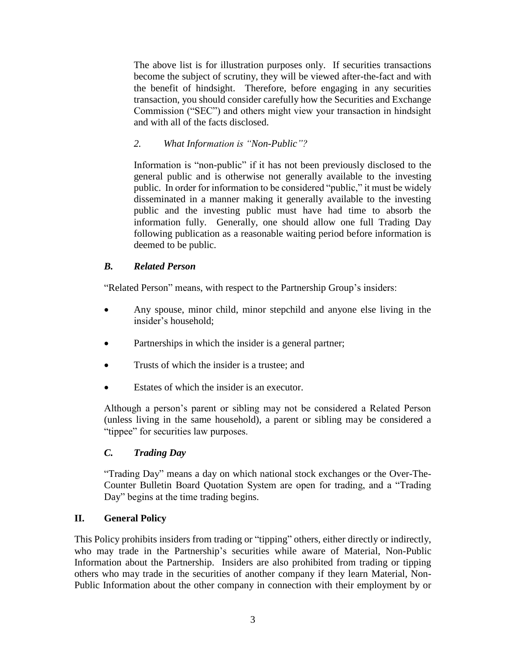The above list is for illustration purposes only. If securities transactions become the subject of scrutiny, they will be viewed after-the-fact and with the benefit of hindsight. Therefore, before engaging in any securities transaction, you should consider carefully how the Securities and Exchange Commission ("SEC") and others might view your transaction in hindsight and with all of the facts disclosed.

# *2. What Information is "Non-Public"?*

Information is "non-public" if it has not been previously disclosed to the general public and is otherwise not generally available to the investing public. In order for information to be considered "public," it must be widely disseminated in a manner making it generally available to the investing public and the investing public must have had time to absorb the information fully. Generally, one should allow one full Trading Day following publication as a reasonable waiting period before information is deemed to be public.

# *B. Related Person*

"Related Person" means, with respect to the Partnership Group's insiders:

- Any spouse, minor child, minor stepchild and anyone else living in the insider's household;
- Partnerships in which the insider is a general partner;
- Trusts of which the insider is a trustee; and
- Estates of which the insider is an executor.

Although a person's parent or sibling may not be considered a Related Person (unless living in the same household), a parent or sibling may be considered a "tippee" for securities law purposes.

# *C. Trading Day*

"Trading Day" means a day on which national stock exchanges or the Over-The-Counter Bulletin Board Quotation System are open for trading, and a "Trading Day" begins at the time trading begins.

# **II. General Policy**

This Policy prohibits insiders from trading or "tipping" others, either directly or indirectly, who may trade in the Partnership's securities while aware of Material, Non-Public Information about the Partnership. Insiders are also prohibited from trading or tipping others who may trade in the securities of another company if they learn Material, Non-Public Information about the other company in connection with their employment by or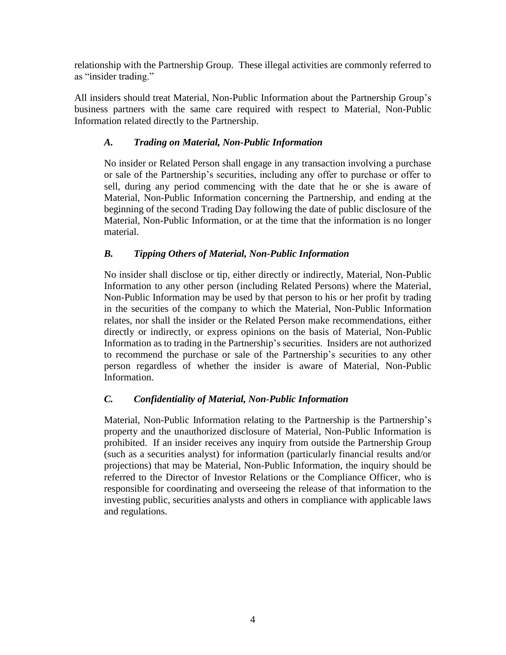relationship with the Partnership Group. These illegal activities are commonly referred to as "insider trading."

All insiders should treat Material, Non-Public Information about the Partnership Group's business partners with the same care required with respect to Material, Non-Public Information related directly to the Partnership.

# *A. Trading on Material, Non-Public Information*

No insider or Related Person shall engage in any transaction involving a purchase or sale of the Partnership's securities, including any offer to purchase or offer to sell, during any period commencing with the date that he or she is aware of Material, Non-Public Information concerning the Partnership, and ending at the beginning of the second Trading Day following the date of public disclosure of the Material, Non-Public Information, or at the time that the information is no longer material.

# *B. Tipping Others of Material, Non-Public Information*

No insider shall disclose or tip, either directly or indirectly, Material, Non-Public Information to any other person (including Related Persons) where the Material, Non-Public Information may be used by that person to his or her profit by trading in the securities of the company to which the Material, Non-Public Information relates, nor shall the insider or the Related Person make recommendations, either directly or indirectly, or express opinions on the basis of Material, Non-Public Information as to trading in the Partnership's securities. Insiders are not authorized to recommend the purchase or sale of the Partnership's securities to any other person regardless of whether the insider is aware of Material, Non-Public Information.

# *C. Confidentiality of Material, Non-Public Information*

Material, Non-Public Information relating to the Partnership is the Partnership's property and the unauthorized disclosure of Material, Non-Public Information is prohibited. If an insider receives any inquiry from outside the Partnership Group (such as a securities analyst) for information (particularly financial results and/or projections) that may be Material, Non-Public Information, the inquiry should be referred to the Director of Investor Relations or the Compliance Officer, who is responsible for coordinating and overseeing the release of that information to the investing public, securities analysts and others in compliance with applicable laws and regulations.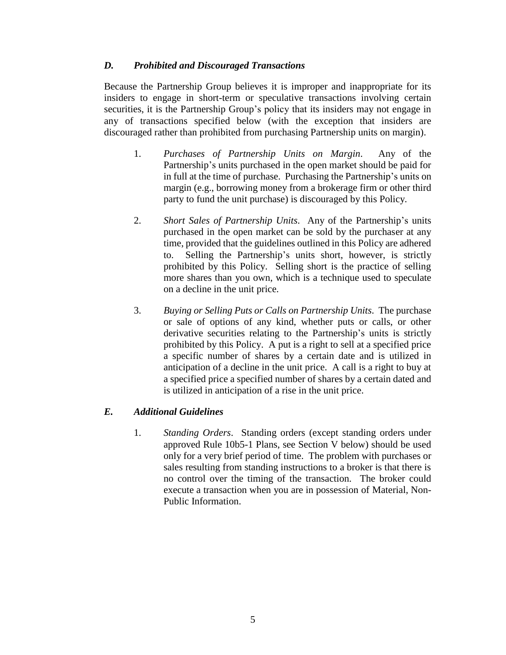#### *D. Prohibited and Discouraged Transactions*

Because the Partnership Group believes it is improper and inappropriate for its insiders to engage in short-term or speculative transactions involving certain securities, it is the Partnership Group's policy that its insiders may not engage in any of transactions specified below (with the exception that insiders are discouraged rather than prohibited from purchasing Partnership units on margin).

- 1. *Purchases of Partnership Units on Margin*. Any of the Partnership's units purchased in the open market should be paid for in full at the time of purchase. Purchasing the Partnership's units on margin (e.g., borrowing money from a brokerage firm or other third party to fund the unit purchase) is discouraged by this Policy.
- 2. *Short Sales of Partnership Units*. Any of the Partnership's units purchased in the open market can be sold by the purchaser at any time, provided that the guidelines outlined in this Policy are adhered to. Selling the Partnership's units short, however, is strictly prohibited by this Policy. Selling short is the practice of selling more shares than you own, which is a technique used to speculate on a decline in the unit price.
- 3. *Buying or Selling Puts or Calls on Partnership Units*. The purchase or sale of options of any kind, whether puts or calls, or other derivative securities relating to the Partnership's units is strictly prohibited by this Policy. A put is a right to sell at a specified price a specific number of shares by a certain date and is utilized in anticipation of a decline in the unit price. A call is a right to buy at a specified price a specified number of shares by a certain dated and is utilized in anticipation of a rise in the unit price.

# *E. Additional Guidelines*

1. *Standing Orders*. Standing orders (except standing orders under approved Rule 10b5-1 Plans, see Section V below) should be used only for a very brief period of time. The problem with purchases or sales resulting from standing instructions to a broker is that there is no control over the timing of the transaction. The broker could execute a transaction when you are in possession of Material, Non-Public Information.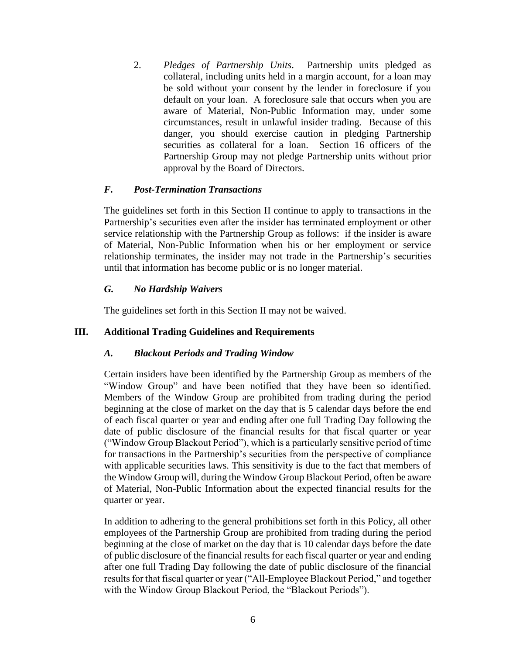2. *Pledges of Partnership Units*. Partnership units pledged as collateral, including units held in a margin account, for a loan may be sold without your consent by the lender in foreclosure if you default on your loan. A foreclosure sale that occurs when you are aware of Material, Non-Public Information may, under some circumstances, result in unlawful insider trading. Because of this danger, you should exercise caution in pledging Partnership securities as collateral for a loan. Section 16 officers of the Partnership Group may not pledge Partnership units without prior approval by the Board of Directors.

#### *F. Post-Termination Transactions*

The guidelines set forth in this Section II continue to apply to transactions in the Partnership's securities even after the insider has terminated employment or other service relationship with the Partnership Group as follows: if the insider is aware of Material, Non-Public Information when his or her employment or service relationship terminates, the insider may not trade in the Partnership's securities until that information has become public or is no longer material.

#### *G. No Hardship Waivers*

The guidelines set forth in this Section II may not be waived.

# **III. Additional Trading Guidelines and Requirements**

#### *A. Blackout Periods and Trading Window*

Certain insiders have been identified by the Partnership Group as members of the "Window Group" and have been notified that they have been so identified. Members of the Window Group are prohibited from trading during the period beginning at the close of market on the day that is 5 calendar days before the end of each fiscal quarter or year and ending after one full Trading Day following the date of public disclosure of the financial results for that fiscal quarter or year ("Window Group Blackout Period"), which is a particularly sensitive period of time for transactions in the Partnership's securities from the perspective of compliance with applicable securities laws. This sensitivity is due to the fact that members of the Window Group will, during the Window Group Blackout Period, often be aware of Material, Non-Public Information about the expected financial results for the quarter or year.

In addition to adhering to the general prohibitions set forth in this Policy, all other employees of the Partnership Group are prohibited from trading during the period beginning at the close of market on the day that is 10 calendar days before the date of public disclosure of the financial results for each fiscal quarter or year and ending after one full Trading Day following the date of public disclosure of the financial results for that fiscal quarter or year ("All-Employee Blackout Period," and together with the Window Group Blackout Period, the "Blackout Periods").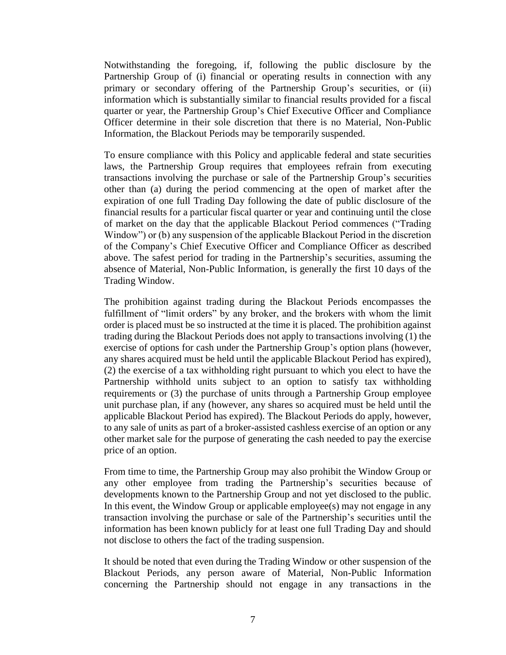Notwithstanding the foregoing, if, following the public disclosure by the Partnership Group of (i) financial or operating results in connection with any primary or secondary offering of the Partnership Group's securities, or (ii) information which is substantially similar to financial results provided for a fiscal quarter or year, the Partnership Group's Chief Executive Officer and Compliance Officer determine in their sole discretion that there is no Material, Non-Public Information, the Blackout Periods may be temporarily suspended.

To ensure compliance with this Policy and applicable federal and state securities laws, the Partnership Group requires that employees refrain from executing transactions involving the purchase or sale of the Partnership Group's securities other than (a) during the period commencing at the open of market after the expiration of one full Trading Day following the date of public disclosure of the financial results for a particular fiscal quarter or year and continuing until the close of market on the day that the applicable Blackout Period commences ("Trading Window") or (b) any suspension of the applicable Blackout Period in the discretion of the Company's Chief Executive Officer and Compliance Officer as described above. The safest period for trading in the Partnership's securities, assuming the absence of Material, Non-Public Information, is generally the first 10 days of the Trading Window.

The prohibition against trading during the Blackout Periods encompasses the fulfillment of "limit orders" by any broker, and the brokers with whom the limit order is placed must be so instructed at the time it is placed. The prohibition against trading during the Blackout Periods does not apply to transactions involving (1) the exercise of options for cash under the Partnership Group's option plans (however, any shares acquired must be held until the applicable Blackout Period has expired), (2) the exercise of a tax withholding right pursuant to which you elect to have the Partnership withhold units subject to an option to satisfy tax withholding requirements or (3) the purchase of units through a Partnership Group employee unit purchase plan, if any (however, any shares so acquired must be held until the applicable Blackout Period has expired). The Blackout Periods do apply, however, to any sale of units as part of a broker-assisted cashless exercise of an option or any other market sale for the purpose of generating the cash needed to pay the exercise price of an option.

From time to time, the Partnership Group may also prohibit the Window Group or any other employee from trading the Partnership's securities because of developments known to the Partnership Group and not yet disclosed to the public. In this event, the Window Group or applicable employee(s) may not engage in any transaction involving the purchase or sale of the Partnership's securities until the information has been known publicly for at least one full Trading Day and should not disclose to others the fact of the trading suspension.

It should be noted that even during the Trading Window or other suspension of the Blackout Periods, any person aware of Material, Non-Public Information concerning the Partnership should not engage in any transactions in the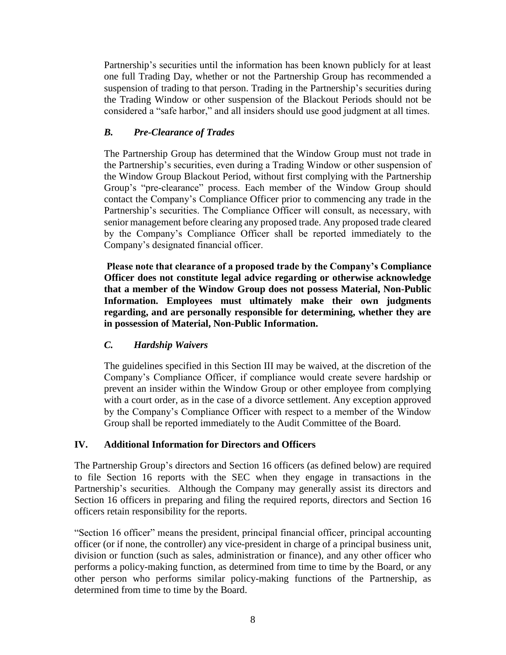Partnership's securities until the information has been known publicly for at least one full Trading Day, whether or not the Partnership Group has recommended a suspension of trading to that person. Trading in the Partnership's securities during the Trading Window or other suspension of the Blackout Periods should not be considered a "safe harbor," and all insiders should use good judgment at all times.

# *B. Pre-Clearance of Trades*

The Partnership Group has determined that the Window Group must not trade in the Partnership's securities, even during a Trading Window or other suspension of the Window Group Blackout Period, without first complying with the Partnership Group's "pre-clearance" process. Each member of the Window Group should contact the Company's Compliance Officer prior to commencing any trade in the Partnership's securities. The Compliance Officer will consult, as necessary, with senior management before clearing any proposed trade. Any proposed trade cleared by the Company's Compliance Officer shall be reported immediately to the Company's designated financial officer.

**Please note that clearance of a proposed trade by the Company's Compliance Officer does not constitute legal advice regarding or otherwise acknowledge that a member of the Window Group does not possess Material, Non-Public Information. Employees must ultimately make their own judgments regarding, and are personally responsible for determining, whether they are in possession of Material, Non-Public Information.**

# *C. Hardship Waivers*

The guidelines specified in this Section III may be waived, at the discretion of the Company's Compliance Officer, if compliance would create severe hardship or prevent an insider within the Window Group or other employee from complying with a court order, as in the case of a divorce settlement. Any exception approved by the Company's Compliance Officer with respect to a member of the Window Group shall be reported immediately to the Audit Committee of the Board.

# **IV. Additional Information for Directors and Officers**

The Partnership Group's directors and Section 16 officers (as defined below) are required to file Section 16 reports with the SEC when they engage in transactions in the Partnership's securities. Although the Company may generally assist its directors and Section 16 officers in preparing and filing the required reports, directors and Section 16 officers retain responsibility for the reports.

"Section 16 officer" means the president, principal financial officer, principal accounting officer (or if none, the controller) any vice-president in charge of a principal business unit, division or function (such as sales, administration or finance), and any other officer who performs a policy-making function, as determined from time to time by the Board, or any other person who performs similar policy-making functions of the Partnership, as determined from time to time by the Board.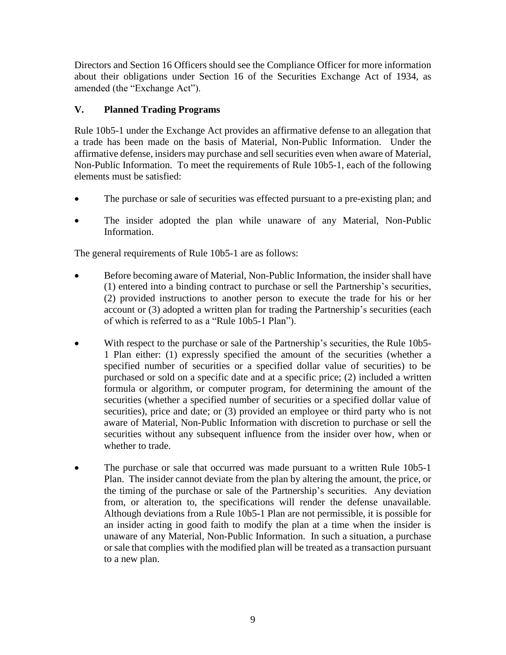Directors and Section 16 Officers should see the Compliance Officer for more information about their obligations under Section 16 of the Securities Exchange Act of 1934, as amended (the "Exchange Act").

# **V. Planned Trading Programs**

Rule 10b5-1 under the Exchange Act provides an affirmative defense to an allegation that a trade has been made on the basis of Material, Non-Public Information. Under the affirmative defense, insiders may purchase and sell securities even when aware of Material, Non-Public Information. To meet the requirements of Rule 10b5-1, each of the following elements must be satisfied:

- The purchase or sale of securities was effected pursuant to a pre-existing plan; and
- The insider adopted the plan while unaware of any Material, Non-Public Information.

The general requirements of Rule 10b5-1 are as follows:

- Before becoming aware of Material, Non-Public Information, the insider shall have (1) entered into a binding contract to purchase or sell the Partnership's securities, (2) provided instructions to another person to execute the trade for his or her account or (3) adopted a written plan for trading the Partnership's securities (each of which is referred to as a "Rule 10b5-1 Plan").
- With respect to the purchase or sale of the Partnership's securities, the Rule 10b5- 1 Plan either: (1) expressly specified the amount of the securities (whether a specified number of securities or a specified dollar value of securities) to be purchased or sold on a specific date and at a specific price; (2) included a written formula or algorithm, or computer program, for determining the amount of the securities (whether a specified number of securities or a specified dollar value of securities), price and date; or (3) provided an employee or third party who is not aware of Material, Non-Public Information with discretion to purchase or sell the securities without any subsequent influence from the insider over how, when or whether to trade.
- The purchase or sale that occurred was made pursuant to a written Rule 10b5-1 Plan. The insider cannot deviate from the plan by altering the amount, the price, or the timing of the purchase or sale of the Partnership's securities. Any deviation from, or alteration to, the specifications will render the defense unavailable. Although deviations from a Rule 10b5-1 Plan are not permissible, it is possible for an insider acting in good faith to modify the plan at a time when the insider is unaware of any Material, Non-Public Information. In such a situation, a purchase or sale that complies with the modified plan will be treated as a transaction pursuant to a new plan.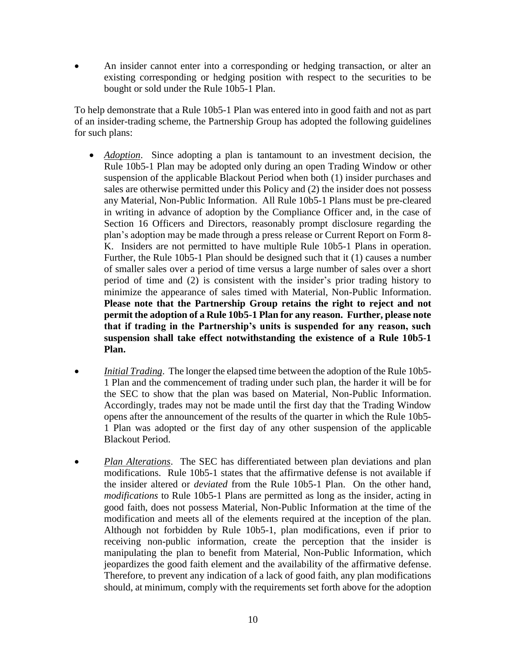An insider cannot enter into a corresponding or hedging transaction, or alter an existing corresponding or hedging position with respect to the securities to be bought or sold under the Rule 10b5-1 Plan.

To help demonstrate that a Rule 10b5-1 Plan was entered into in good faith and not as part of an insider-trading scheme, the Partnership Group has adopted the following guidelines for such plans:

- *Adoption*. Since adopting a plan is tantamount to an investment decision, the Rule 10b5-1 Plan may be adopted only during an open Trading Window or other suspension of the applicable Blackout Period when both (1) insider purchases and sales are otherwise permitted under this Policy and (2) the insider does not possess any Material, Non-Public Information. All Rule 10b5-1 Plans must be pre-cleared in writing in advance of adoption by the Compliance Officer and, in the case of Section 16 Officers and Directors, reasonably prompt disclosure regarding the plan's adoption may be made through a press release or Current Report on Form 8- K. Insiders are not permitted to have multiple Rule 10b5-1 Plans in operation. Further, the Rule 10b5-1 Plan should be designed such that it (1) causes a number of smaller sales over a period of time versus a large number of sales over a short period of time and (2) is consistent with the insider's prior trading history to minimize the appearance of sales timed with Material, Non-Public Information. **Please note that the Partnership Group retains the right to reject and not permit the adoption of a Rule 10b5-1 Plan for any reason. Further, please note that if trading in the Partnership's units is suspended for any reason, such suspension shall take effect notwithstanding the existence of a Rule 10b5-1 Plan.**
- *Initial Trading*. The longer the elapsed time between the adoption of the Rule 10b5- 1 Plan and the commencement of trading under such plan, the harder it will be for the SEC to show that the plan was based on Material, Non-Public Information. Accordingly, trades may not be made until the first day that the Trading Window opens after the announcement of the results of the quarter in which the Rule 10b5- 1 Plan was adopted or the first day of any other suspension of the applicable Blackout Period.
- *Plan Alterations*. The SEC has differentiated between plan deviations and plan modifications. Rule 10b5-1 states that the affirmative defense is not available if the insider altered or *deviated* from the Rule 10b5-1 Plan. On the other hand, *modifications* to Rule 10b5-1 Plans are permitted as long as the insider, acting in good faith, does not possess Material, Non-Public Information at the time of the modification and meets all of the elements required at the inception of the plan. Although not forbidden by Rule 10b5-1, plan modifications, even if prior to receiving non-public information, create the perception that the insider is manipulating the plan to benefit from Material, Non-Public Information, which jeopardizes the good faith element and the availability of the affirmative defense. Therefore, to prevent any indication of a lack of good faith, any plan modifications should, at minimum, comply with the requirements set forth above for the adoption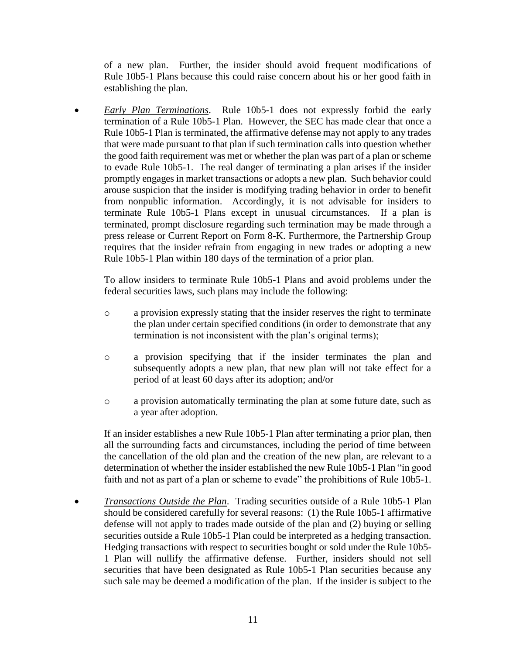of a new plan. Further, the insider should avoid frequent modifications of Rule 10b5-1 Plans because this could raise concern about his or her good faith in establishing the plan.

 *Early Plan Terminations*. Rule 10b5-1 does not expressly forbid the early termination of a Rule 10b5-1 Plan. However, the SEC has made clear that once a Rule 10b5-1 Plan is terminated, the affirmative defense may not apply to any trades that were made pursuant to that plan if such termination calls into question whether the good faith requirement was met or whether the plan was part of a plan or scheme to evade Rule 10b5-1. The real danger of terminating a plan arises if the insider promptly engages in market transactions or adopts a new plan. Such behavior could arouse suspicion that the insider is modifying trading behavior in order to benefit from nonpublic information. Accordingly, it is not advisable for insiders to terminate Rule 10b5-1 Plans except in unusual circumstances. If a plan is terminated, prompt disclosure regarding such termination may be made through a press release or Current Report on Form 8-K. Furthermore, the Partnership Group requires that the insider refrain from engaging in new trades or adopting a new Rule 10b5-1 Plan within 180 days of the termination of a prior plan.

To allow insiders to terminate Rule 10b5-1 Plans and avoid problems under the federal securities laws, such plans may include the following:

- o a provision expressly stating that the insider reserves the right to terminate the plan under certain specified conditions (in order to demonstrate that any termination is not inconsistent with the plan's original terms);
- o a provision specifying that if the insider terminates the plan and subsequently adopts a new plan, that new plan will not take effect for a period of at least 60 days after its adoption; and/or
- o a provision automatically terminating the plan at some future date, such as a year after adoption.

If an insider establishes a new Rule 10b5-1 Plan after terminating a prior plan, then all the surrounding facts and circumstances, including the period of time between the cancellation of the old plan and the creation of the new plan, are relevant to a determination of whether the insider established the new Rule 10b5-1 Plan "in good faith and not as part of a plan or scheme to evade" the prohibitions of Rule 10b5-1.

 *Transactions Outside the Plan*. Trading securities outside of a Rule 10b5-1 Plan should be considered carefully for several reasons: (1) the Rule 10b5-1 affirmative defense will not apply to trades made outside of the plan and (2) buying or selling securities outside a Rule 10b5-1 Plan could be interpreted as a hedging transaction. Hedging transactions with respect to securities bought or sold under the Rule 10b5- 1 Plan will nullify the affirmative defense. Further, insiders should not sell securities that have been designated as Rule 10b5-1 Plan securities because any such sale may be deemed a modification of the plan. If the insider is subject to the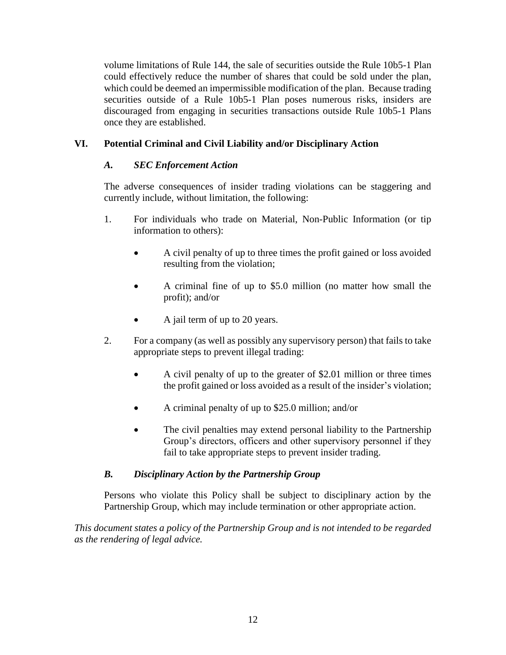volume limitations of Rule 144, the sale of securities outside the Rule 10b5-1 Plan could effectively reduce the number of shares that could be sold under the plan, which could be deemed an impermissible modification of the plan. Because trading securities outside of a Rule 10b5-1 Plan poses numerous risks, insiders are discouraged from engaging in securities transactions outside Rule 10b5-1 Plans once they are established.

# **VI. Potential Criminal and Civil Liability and/or Disciplinary Action**

# *A. SEC Enforcement Action*

The adverse consequences of insider trading violations can be staggering and currently include, without limitation, the following:

- 1. For individuals who trade on Material, Non-Public Information (or tip information to others):
	- A civil penalty of up to three times the profit gained or loss avoided resulting from the violation;
	- A criminal fine of up to \$5.0 million (no matter how small the profit); and/or
	- A jail term of up to 20 years.
- 2. For a company (as well as possibly any supervisory person) that fails to take appropriate steps to prevent illegal trading:
	- A civil penalty of up to the greater of \$2.01 million or three times the profit gained or loss avoided as a result of the insider's violation;
	- A criminal penalty of up to \$25.0 million; and/or
	- The civil penalties may extend personal liability to the Partnership Group's directors, officers and other supervisory personnel if they fail to take appropriate steps to prevent insider trading.

# *B. Disciplinary Action by the Partnership Group*

Persons who violate this Policy shall be subject to disciplinary action by the Partnership Group, which may include termination or other appropriate action.

*This document states a policy of the Partnership Group and is not intended to be regarded as the rendering of legal advice.*